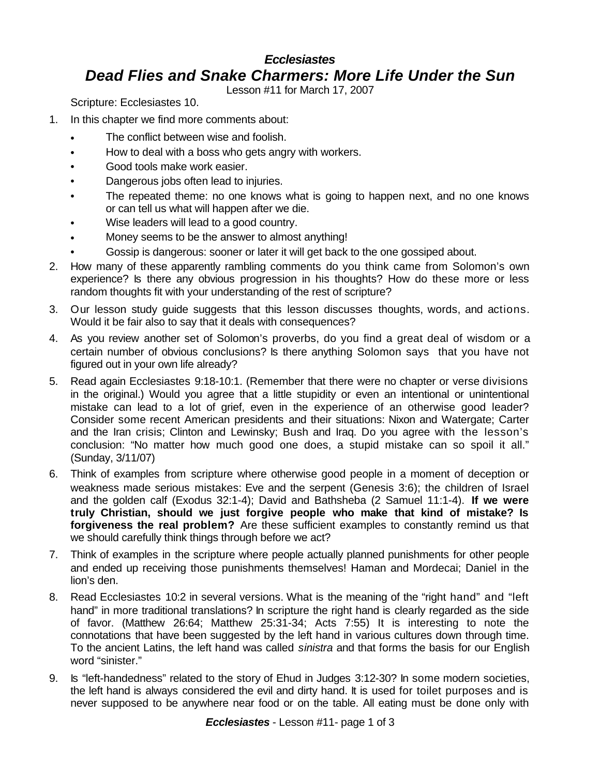## *Ecclesiastes Dead Flies and Snake Charmers: More Life Under the Sun*

Lesson #11 for March 17, 2007

Scripture: Ecclesiastes 10.

- 1. In this chapter we find more comments about:
	- The conflict between wise and foolish.
	- How to deal with a boss who gets angry with workers.
	- Good tools make work easier.
	- Dangerous jobs often lead to injuries.
	- The repeated theme: no one knows what is going to happen next, and no one knows or can tell us what will happen after we die.
	- Wise leaders will lead to a good country.
	- Money seems to be the answer to almost anything!
	- Gossip is dangerous: sooner or later it will get back to the one gossiped about.
- 2. How many of these apparently rambling comments do you think came from Solomon's own experience? Is there any obvious progression in his thoughts? How do these more or less random thoughts fit with your understanding of the rest of scripture?
- 3. Our lesson study guide suggests that this lesson discusses thoughts, words, and actions. Would it be fair also to say that it deals with consequences?
- 4. As you review another set of Solomon's proverbs, do you find a great deal of wisdom or a certain number of obvious conclusions? Is there anything Solomon says that you have not figured out in your own life already?
- 5. Read again Ecclesiastes 9:18-10:1. (Remember that there were no chapter or verse divisions in the original.) Would you agree that a little stupidity or even an intentional or unintentional mistake can lead to a lot of grief, even in the experience of an otherwise good leader? Consider some recent American presidents and their situations: Nixon and Watergate; Carter and the Iran crisis; Clinton and Lewinsky; Bush and Iraq. Do you agree with the lesson's conclusion: "No matter how much good one does, a stupid mistake can so spoil it all." (Sunday, 3/11/07)
- 6. Think of examples from scripture where otherwise good people in a moment of deception or weakness made serious mistakes: Eve and the serpent (Genesis 3:6); the children of Israel and the golden calf (Exodus 32:1-4); David and Bathsheba (2 Samuel 11:1-4). **If we were truly Christian, should we just forgive people who make that kind of mistake? Is forgiveness the real problem?** Are these sufficient examples to constantly remind us that we should carefully think things through before we act?
- 7. Think of examples in the scripture where people actually planned punishments for other people and ended up receiving those punishments themselves! Haman and Mordecai; Daniel in the lion's den.
- 8. Read Ecclesiastes 10:2 in several versions. What is the meaning of the "right hand" and "left hand" in more traditional translations? In scripture the right hand is clearly regarded as the side of favor. (Matthew 26:64; Matthew 25:31-34; Acts 7:55) It is interesting to note the connotations that have been suggested by the left hand in various cultures down through time. To the ancient Latins, the left hand was called *sinistra* and that forms the basis for our English word "sinister."
- 9. Is "left-handedness" related to the story of Ehud in Judges 3:12-30? In some modern societies, the left hand is always considered the evil and dirty hand. It is used for toilet purposes and is never supposed to be anywhere near food or on the table. All eating must be done only with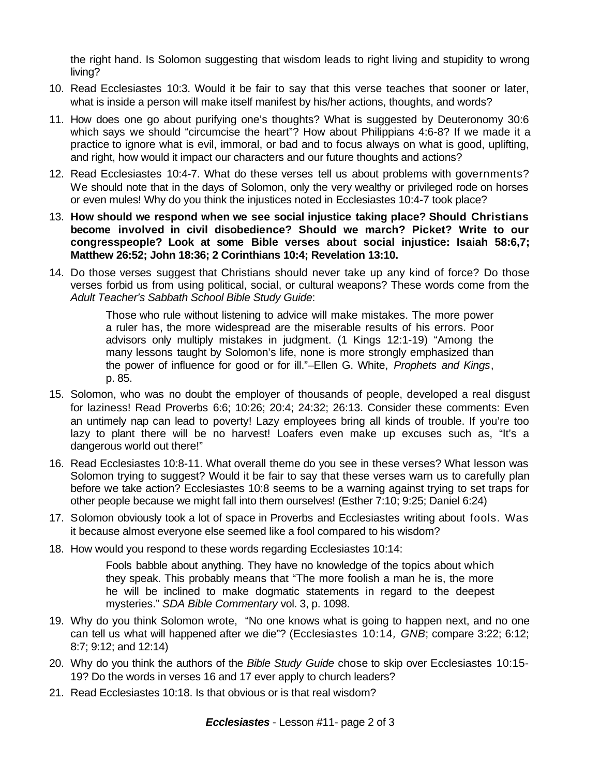the right hand. Is Solomon suggesting that wisdom leads to right living and stupidity to wrong living?

- 10. Read Ecclesiastes 10:3. Would it be fair to say that this verse teaches that sooner or later, what is inside a person will make itself manifest by his/her actions, thoughts, and words?
- 11. How does one go about purifying one's thoughts? What is suggested by Deuteronomy 30:6 which says we should "circumcise the heart"? How about Philippians 4:6-8? If we made it a practice to ignore what is evil, immoral, or bad and to focus always on what is good, uplifting, and right, how would it impact our characters and our future thoughts and actions?
- 12. Read Ecclesiastes 10:4-7. What do these verses tell us about problems with governments? We should note that in the days of Solomon, only the very wealthy or privileged rode on horses or even mules! Why do you think the injustices noted in Ecclesiastes 10:4-7 took place?
- 13. **How should we respond when we see social injustice taking place? Should Christians become involved in civil disobedience? Should we march? Picket? Write to our congresspeople? Look at some Bible verses about social injustice: Isaiah 58:6,7; Matthew 26:52; John 18:36; 2 Corinthians 10:4; Revelation 13:10.**
- 14. Do those verses suggest that Christians should never take up any kind of force? Do those verses forbid us from using political, social, or cultural weapons? These words come from the *Adult Teacher's Sabbath School Bible Study Guide*:

Those who rule without listening to advice will make mistakes. The more power a ruler has, the more widespread are the miserable results of his errors. Poor advisors only multiply mistakes in judgment. (1 Kings 12:1-19) "Among the many lessons taught by Solomon's life, none is more strongly emphasized than the power of influence for good or for ill."–Ellen G. White, *Prophets and Kings*, p. 85.

- 15. Solomon, who was no doubt the employer of thousands of people, developed a real disgust for laziness! Read Proverbs 6:6; 10:26; 20:4; 24:32; 26:13. Consider these comments: Even an untimely nap can lead to poverty! Lazy employees bring all kinds of trouble. If you're too lazy to plant there will be no harvest! Loafers even make up excuses such as, "It's a dangerous world out there!"
- 16. Read Ecclesiastes 10:8-11. What overall theme do you see in these verses? What lesson was Solomon trying to suggest? Would it be fair to say that these verses warn us to carefully plan before we take action? Ecclesiastes 10:8 seems to be a warning against trying to set traps for other people because we might fall into them ourselves! (Esther 7:10; 9:25; Daniel 6:24)
- 17. Solomon obviously took a lot of space in Proverbs and Ecclesiastes writing about fools. Was it because almost everyone else seemed like a fool compared to his wisdom?
- 18. How would you respond to these words regarding Ecclesiastes 10:14:

Fools babble about anything. They have no knowledge of the topics about which they speak. This probably means that "The more foolish a man he is, the more he will be inclined to make dogmatic statements in regard to the deepest mysteries." *SDA Bible Commentary* vol. 3, p. 1098.

- 19. Why do you think Solomon wrote, "No one knows what is going to happen next, and no one can tell us what will happened after we die"? (Ecclesiastes 10:14*, GNB*; compare 3:22; 6:12; 8:7; 9:12; and 12:14)
- 20. Why do you think the authors of the *Bible Study Guide* chose to skip over Ecclesiastes 10:15- 19? Do the words in verses 16 and 17 ever apply to church leaders?
- 21. Read Ecclesiastes 10:18. Is that obvious or is that real wisdom?